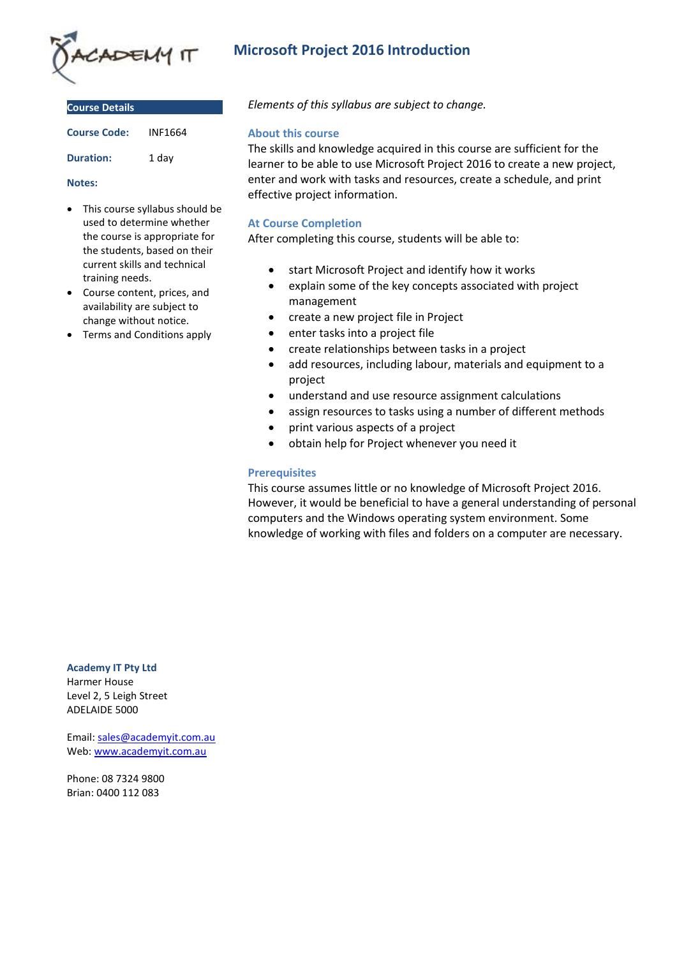

**Course Details**

| <b>Course Code:</b> | INF1664 |
|---------------------|---------|
| <b>Duration:</b>    | 1 day   |

#### **Notes:**

- This course syllabus should be used to determine whether the course is appropriate for the students, based on their current skills and technical training needs.
- Course content, prices, and availability are subject to change without notice.
- Terms and Conditions apply

# **Microsoft Project 2016 Introduction**

*Elements of this syllabus are subject to change.*

#### **About this course**

The skills and knowledge acquired in this course are sufficient for the learner to be able to use Microsoft Project 2016 to create a new project, enter and work with tasks and resources, create a schedule, and print effective project information.

# **At Course Completion**

After completing this course, students will be able to:

- start Microsoft Project and identify how it works
- explain some of the key concepts associated with project management
- create a new project file in Project
- enter tasks into a project file
- create relationships between tasks in a project
- add resources, including labour, materials and equipment to a project
- understand and use resource assignment calculations
- assign resources to tasks using a number of different methods
- print various aspects of a project
- obtain help for Project whenever you need it

### **Prerequisites**

This course assumes little or no knowledge of Microsoft Project 2016. However, it would be beneficial to have a general understanding of personal computers and the Windows operating system environment. Some knowledge of working with files and folders on a computer are necessary.

#### **Academy IT Pty Ltd**

Harmer House Level 2, 5 Leigh Street ADELAIDE 5000

Email: [sales@academyit.com.au](mailto:sales@academyit.com.au) Web: [www.academyit.com.au](http://www.academyit.com.au/)

Phone: 08 7324 9800 Brian: 0400 112 083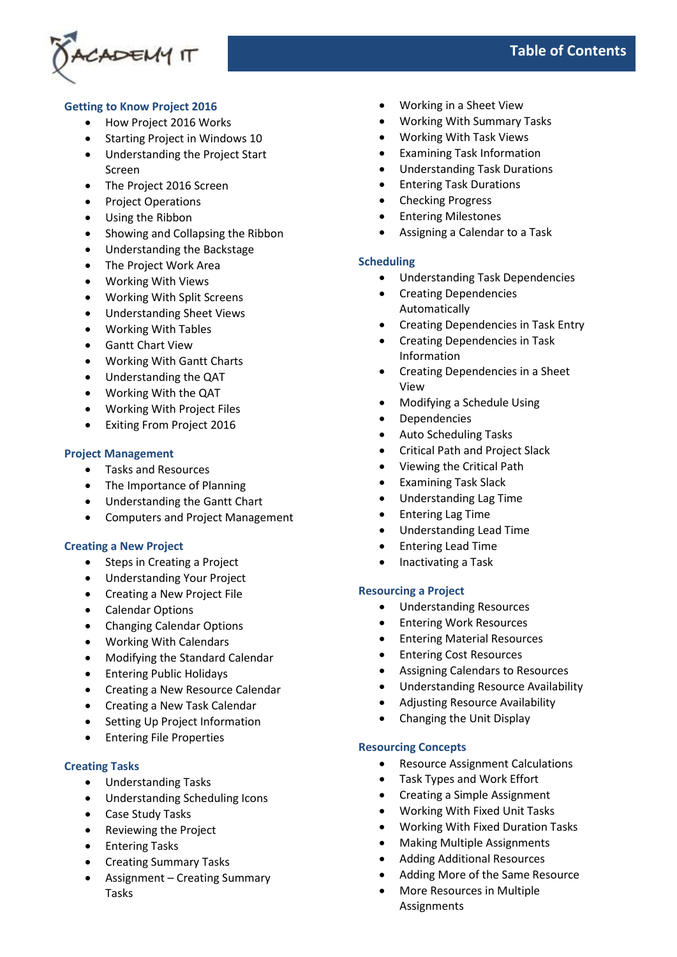

# **Getting to Know Project 2016**

- How Project 2016 Works
- Starting Project in Windows 10
- Understanding the Project Start Screen
- The Project 2016 Screen
- Project Operations
- Using the Ribbon
- Showing and Collapsing the Ribbon
- Understanding the Backstage
- The Project Work Area
- Working With Views
- Working With Split Screens
- Understanding Sheet Views
- Working With Tables
- Gantt Chart View
- Working With Gantt Charts
- Understanding the QAT
- Working With the QAT
- Working With Project Files
- Exiting From Project 2016

### **Project Management**

- Tasks and Resources
- The Importance of Planning
- Understanding the Gantt Chart
- Computers and Project Management

# **Creating a New Project**

- Steps in Creating a Project
- Understanding Your Project
- Creating a New Project File
- Calendar Options
- Changing Calendar Options
- Working With Calendars
- Modifying the Standard Calendar
- Entering Public Holidays
- Creating a New Resource Calendar
- Creating a New Task Calendar
- Setting Up Project Information
- Entering File Properties

# **Creating Tasks**

- Understanding Tasks
- Understanding Scheduling Icons
- Case Study Tasks
- Reviewing the Project
- Entering Tasks
- Creating Summary Tasks
- Assignment Creating Summary Tasks
- Working in a Sheet View
- Working With Summary Tasks
- Working With Task Views
- Examining Task Information
- Understanding Task Durations
- Entering Task Durations
- Checking Progress
- Entering Milestones
- Assigning a Calendar to a Task

### **Scheduling**

- Understanding Task Dependencies
- Creating Dependencies Automatically
- Creating Dependencies in Task Entry
- Creating Dependencies in Task Information
- Creating Dependencies in a Sheet View
- Modifying a Schedule Using
- **Dependencies**
- Auto Scheduling Tasks
- Critical Path and Project Slack
- Viewing the Critical Path
- Examining Task Slack
- Understanding Lag Time
- Entering Lag Time
- Understanding Lead Time
- Entering Lead Time
- Inactivating a Task

#### **Resourcing a Project**

- Understanding Resources
- Entering Work Resources
- Entering Material Resources
- Entering Cost Resources
- Assigning Calendars to Resources
- Understanding Resource Availability
- Adjusting Resource Availability
- Changing the Unit Display

## **Resourcing Concepts**

- Resource Assignment Calculations
- Task Types and Work Effort
- Creating a Simple Assignment
- Working With Fixed Unit Tasks
- Working With Fixed Duration Tasks
- Making Multiple Assignments
- Adding Additional Resources
- Adding More of the Same Resource
- More Resources in Multiple Assignments